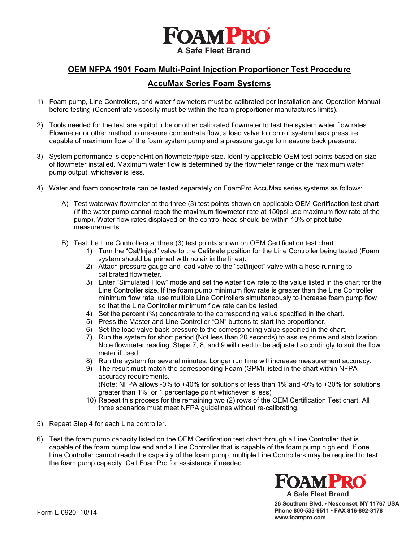

## **OEM NFPA 1901 Foam Multi-Point Injection Proportioner Test Procedure**

## **AccuMax Series Foam Systems**

- 1) Foam pump, Line Controllers, and water flowmeters must be calibrated per Installation and Operation Manual before testing (Concentrate viscosity must be within the foam proportioner manufactures limits).
- 2) Tools needed for the test are a pitot tube or other calibrated flowmeter to test the system water flow rates. Flowmeter or other method to measure concentrate flow, a load valve to control system back pressure capable of maximum flow of the foam system pump and a pressure gauge to measure back pressure.
- 3) System performance is depend^nt on flowmeter/pipe size. Identify applicable OEM test points based on size of flowmeter installed. Maximum water flow is determined by the flowmeter range or the maximum water pump output, whichever is less.
- 4) Water and foam concentrate can be tested separately on FoamPro AccuMax series systems as follows:
	- A) Test waterway flowmeter at the three (3) test points shown on applicable OEM Certification test chart (If the water pump cannot reach the maximum flowmeter rate at 150psi use maximum flow rate of the pump). Water flow rates displayed on the control head should be within 10% of pitot tube measurements.
	- B) Test the Line Controllers at three (3) test points shown on OEM Certification test chart.
		- 1) Turn the "Cal/Inject" valve to the Calibrate position for the Line Controller being tested (Foam system should be primed with no air in the lines).
		- 2) Attach pressure gauge and load valve to the "cal/inject" valve with a hose running to calibrated flowmeter.
		- 3) Enter "Simulated Flow" mode and set the water flow rate to the value listed in the chart for the Line Controller size. If the foam pump minimum flow rate is greater than the Line Controller minimum flow rate, use multiple Line Controllers simultaneously to increase foam pump flow so that the Line Controller minimum flow rate can be tested.
		- 4) Set the percent (%) concentrate to the corresponding value specified in the chart.
		- 5) Press the Master and Line Controller "ON" buttons to start the proportioner.
		- 6) Set the load valve back pressure to the corresponding value specified in the chart.
		- 7) Run the system for short period (Not less than 20 seconds) to assure prime and stabilization. Note flowmeter reading. Steps 7, 8, and 9 will need to be adjusted accordingly to suit the flow meter if used.
		- 8) Run the system for several minutes. Longer run time will increase measurement accuracy.
		- 9) The result must match the corresponding Foam (GPM) listed in the chart within NFPA accuracy requirements. (Note: NFPA allows -0% to +40% for solutions of less than 1% and -0% to +30% for solutions greater than 1%; or 1 percentage point whichever is less)
		- 10) Repeat this process for the remaining two (2) rows of the OEM Certification Test chart. All three scenarios must meet NFPA guidelines without re-calibrating.
- 5) Repeat Step 4 for each Line controller.
- 6) Test the foam pump capacity listed on the OEM Certification test chart through a Line Controller that is capable of the foam pump low end and a Line Controller that is capable of the foam pump high end. If one Line Controller cannot reach the capacity of the foam pump, multiple Line Controllers may be required to test the foam pump capacity. Call FoamPro for assistance if needed.



**26 Southern Blvd. • Nesconset, NY 11767 USA Phone 800-533-9511 • FAX 816-892-3178 www.foampro.com**